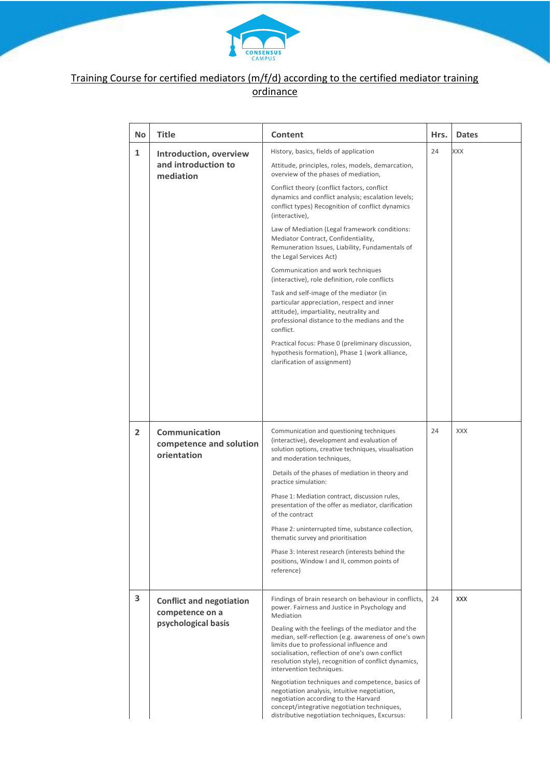

## Training Course for certified mediators (m/f/d) according to the certified mediator training ordinance

| No | Title                                                                     | Content                                                                                                                                                                                                                                                                                      | Hrs. | <b>Dates</b> |
|----|---------------------------------------------------------------------------|----------------------------------------------------------------------------------------------------------------------------------------------------------------------------------------------------------------------------------------------------------------------------------------------|------|--------------|
| 1  | Introduction, overview<br>and introduction to<br>mediation                | History, basics, fields of application<br>Attitude, principles, roles, models, demarcation,<br>overview of the phases of mediation,                                                                                                                                                          | 24   | XXX          |
|    |                                                                           | Conflict theory (conflict factors, conflict<br>dynamics and conflict analysis; escalation levels;<br>conflict types) Recognition of conflict dynamics<br>(interactive),                                                                                                                      |      |              |
|    |                                                                           | Law of Mediation (Legal framework conditions:<br>Mediator Contract, Confidentiality,<br>Remuneration Issues, Liability, Fundamentals of<br>the Legal Services Act)                                                                                                                           |      |              |
|    |                                                                           | Communication and work techniques<br>(interactive), role definition, role conflicts                                                                                                                                                                                                          |      |              |
|    |                                                                           | Task and self-image of the mediator (in<br>particular appreciation, respect and inner<br>attitude), impartiality, neutrality and<br>professional distance to the medians and the<br>conflict.                                                                                                |      |              |
|    |                                                                           | Practical focus: Phase 0 (preliminary discussion,<br>hypothesis formation), Phase 1 (work alliance,<br>clarification of assignment)                                                                                                                                                          |      |              |
|    |                                                                           |                                                                                                                                                                                                                                                                                              |      |              |
| 2  | <b>Communication</b><br>competence and solution<br>orientation            | Communication and questioning techniques<br>(interactive), development and evaluation of<br>solution options, creative techniques, visualisation<br>and moderation techniques,                                                                                                               | 24   | <b>XXX</b>   |
|    |                                                                           | Details of the phases of mediation in theory and<br>practice simulation:                                                                                                                                                                                                                     |      |              |
|    |                                                                           | Phase 1: Mediation contract, discussion rules,<br>presentation of the offer as mediator, clarification<br>of the contract                                                                                                                                                                    |      |              |
|    |                                                                           | Phase 2: uninterrupted time, substance collection,<br>thematic survey and prioritisation                                                                                                                                                                                                     |      |              |
|    |                                                                           | Phase 3: Interest research (interests behind the<br>positions, Window I and II, common points of<br>reference)                                                                                                                                                                               |      |              |
| 3  | <b>Conflict and negotiation</b><br>competence on a<br>psychological basis | Findings of brain research on behaviour in conflicts,<br>power. Fairness and Justice in Psychology and<br><b>Mediation</b>                                                                                                                                                                   | 24   | <b>XXX</b>   |
|    |                                                                           | Dealing with the feelings of the mediator and the<br>median, self-reflection (e.g. awareness of one's own<br>limits due to professional influence and<br>socialisation, reflection of one's own conflict<br>resolution style), recognition of conflict dynamics,<br>intervention techniques. |      |              |
|    |                                                                           | Negotiation techniques and competence, basics of<br>negotiation analysis, intuitive negotiation,<br>negotiation according to the Harvard<br>concept/integrative negotiation techniques,<br>distributive negotiation techniques, Excursus:                                                    |      |              |